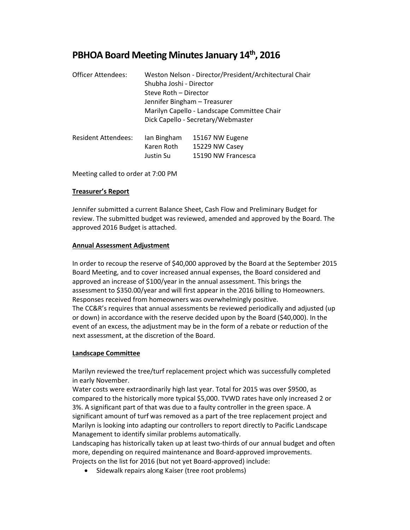# **PBHOA Board Meeting Minutes January 14th, 2016**

| <b>Officer Attendees:</b>  | Weston Nelson - Director/President/Architectural Chair<br>Shubha Joshi - Director<br>Steve Roth - Director<br>Jennifer Bingham - Treasurer<br>Marilyn Capello - Landscape Committee Chair<br>Dick Capello - Secretary/Webmaster |                                                         |  |  |
|----------------------------|---------------------------------------------------------------------------------------------------------------------------------------------------------------------------------------------------------------------------------|---------------------------------------------------------|--|--|
| <b>Resident Attendees:</b> | lan Bingham<br>Karen Roth<br>Justin Su                                                                                                                                                                                          | 15167 NW Eugene<br>15229 NW Casey<br>15190 NW Francesca |  |  |

Meeting called to order at 7:00 PM

# **Treasurer's Report**

Jennifer submitted a current Balance Sheet, Cash Flow and Preliminary Budget for review. The submitted budget was reviewed, amended and approved by the Board. The approved 2016 Budget is attached.

## **Annual Assessment Adjustment**

In order to recoup the reserve of \$40,000 approved by the Board at the September 2015 Board Meeting, and to cover increased annual expenses, the Board considered and approved an increase of \$100/year in the annual assessment. This brings the assessment to \$350.00/year and will first appear in the 2016 billing to Homeowners. Responses received from homeowners was overwhelmingly positive. The CC&R's requires that annual assessments be reviewed periodically and adjusted (up or down) in accordance with the reserve decided upon by the Board (\$40,000). In the event of an excess, the adjustment may be in the form of a rebate or reduction of the next assessment, at the discretion of the Board.

#### **Landscape Committee**

Marilyn reviewed the tree/turf replacement project which was successfully completed in early November.

Water costs were extraordinarily high last year. Total for 2015 was over \$9500, as compared to the historically more typical \$5,000. TVWD rates have only increased 2 or 3%. A significant part of that was due to a faulty controller in the green space. A significant amount of turf was removed as a part of the tree replacement project and Marilyn is looking into adapting our controllers to report directly to Pacific Landscape Management to identify similar problems automatically.

Landscaping has historically taken up at least two-thirds of our annual budget and often more, depending on required maintenance and Board-approved improvements. Projects on the list for 2016 (but not yet Board-approved) include:

• Sidewalk repairs along Kaiser (tree root problems)